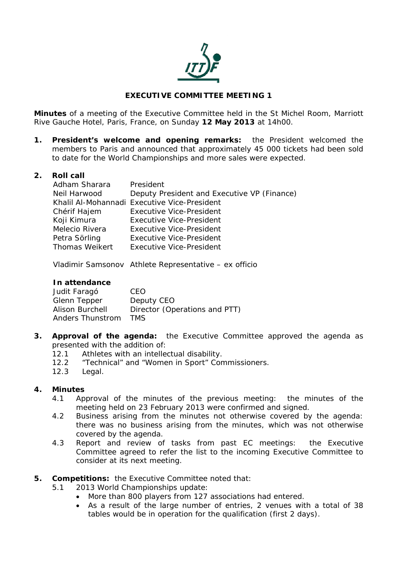

## **EXECUTIVE COMMITTEE MEETING 1**

**Minutes** of a meeting of the Executive Committee held in the St Michel Room, Marriott Rive Gauche Hotel, Paris, France, on Sunday **12 May 2013** at 14h00.

**1. President's welcome and opening remarks:** the President welcomed the members to Paris and announced that approximately 45 000 tickets had been sold to date for the World Championships and more sales were expected.

#### **2. Roll call**

| Adham Sharara  | President                                    |
|----------------|----------------------------------------------|
| Neil Harwood   | Deputy President and Executive VP (Finance)  |
|                | Khalil Al-Mohannadi Executive Vice-President |
| Chérif Hajem   | <b>Executive Vice-President</b>              |
| Koji Kimura    | <b>Executive Vice-President</b>              |
| Melecio Rivera | <b>Executive Vice-President</b>              |
| Petra Sörling  | <b>Executive Vice-President</b>              |
| Thomas Weikert | Executive Vice-President                     |

Vladimir Samsonov Athlete Representative – ex officio

#### **In attendance**

| Judit Faragó           | CFO.                          |
|------------------------|-------------------------------|
| Glenn Tepper           | Deputy CEO                    |
| <b>Alison Burchell</b> | Director (Operations and PTT) |
| Anders Thunstrom       | TMS.                          |

- **3. Approval of the agenda:** the Executive Committee approved the agenda as presented with the addition of:
	- 12.1 Athletes with an intellectual disability.
	- 12.2 "Technical" and "Women in Sport" Commissioners.
	- 12.3 Legal.

#### **4. Minutes**

- 4.1 Approval of the minutes of the previous meeting: the minutes of the meeting held on 23 February 2013 were confirmed and signed.
- 4.2 Business arising from the minutes not otherwise covered by the agenda: there was no business arising from the minutes, which was not otherwise covered by the agenda.
- 4.3 Report and review of tasks from past EC meetings: the Executive Committee agreed to refer the list to the incoming Executive Committee to consider at its next meeting.
- **5. Competitions:** the Executive Committee noted that:
	- 5.1 2013 World Championships update:
		- More than 800 players from 127 associations had entered.
		- As a result of the large number of entries, 2 venues with a total of 38 tables would be in operation for the qualification (first 2 days).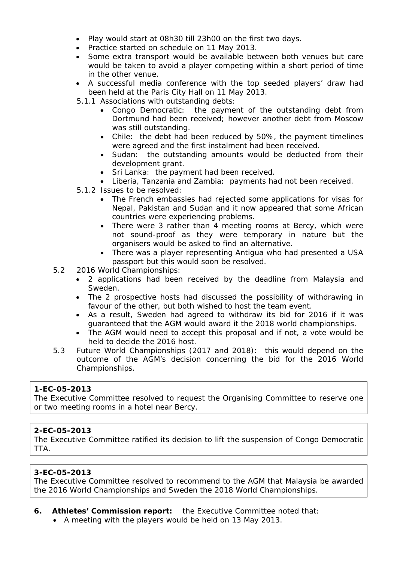- Play would start at 08h30 till 23h00 on the first two days.
- Practice started on schedule on 11 May 2013.
- Some extra transport would be available between both venues but care would be taken to avoid a player competing within a short period of time in the other venue.
- A successful media conference with the top seeded players' draw had been held at the Paris City Hall on 11 May 2013.
- 5.1.1 Associations with outstanding debts:
	- Congo Democratic: the payment of the outstanding debt from Dortmund had been received; however another debt from Moscow was still outstanding.
	- Chile: the debt had been reduced by 50%, the payment timelines were agreed and the first instalment had been received.
	- Sudan: the outstanding amounts would be deducted from their development grant.
	- Sri Lanka: the payment had been received.
	- Liberia, Tanzania and Zambia: payments had not been received.
- 5.1.2 Issues to be resolved:
	- The French embassies had rejected some applications for visas for Nepal, Pakistan and Sudan and it now appeared that some African countries were experiencing problems.
	- There were 3 rather than 4 meeting rooms at Bercy, which were not sound-proof as they were temporary in nature but the organisers would be asked to find an alternative.
	- There was a player representing Antigua who had presented a USA passport but this would soon be resolved.
- 5.2 2016 World Championships:
	- 2 applications had been received by the deadline from Malaysia and Sweden.
	- The 2 prospective hosts had discussed the possibility of withdrawing in favour of the other, but both wished to host the team event.
	- As a result, Sweden had agreed to withdraw its bid for 2016 if it was guaranteed that the AGM would award it the 2018 world championships.
	- The AGM would need to accept this proposal and if not, a vote would be held to decide the 2016 host.
- 5.3 Future World Championships (2017 and 2018): this would depend on the outcome of the AGM's decision concerning the bid for the 2016 World Championships.

#### **1-EC-05-2013**

The Executive Committee resolved to request the Organising Committee to reserve one or two meeting rooms in a hotel near Bercy.

#### **2-EC-05-2013**

The Executive Committee ratified its decision to lift the suspension of Congo Democratic TTA.

#### **3-EC-05-2013**

The Executive Committee resolved to recommend to the AGM that Malaysia be awarded the 2016 World Championships and Sweden the 2018 World Championships.

## **6. Athletes' Commission report:** the Executive Committee noted that:

A meeting with the players would be held on 13 May 2013.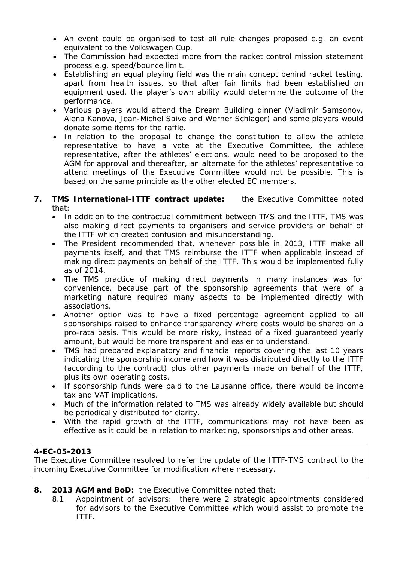- An event could be organised to test all rule changes proposed e.g. an event equivalent to the Volkswagen Cup.
- The Commission had expected more from the racket control mission statement process e.g. speed/bounce limit.
- Establishing an equal playing field was the main concept behind racket testing, apart from health issues, so that after fair limits had been established on equipment used, the player's own ability would determine the outcome of the performance.
- Various players would attend the Dream Building dinner (Vladimir Samsonov, Alena Kanova, Jean-Michel Saive and Werner Schlager) and some players would donate some items for the raffle.
- In relation to the proposal to change the constitution to allow the athlete representative to have a vote at the Executive Committee, the athlete representative, after the athletes' elections, would need to be proposed to the AGM for approval and thereafter, an alternate for the athletes' representative to attend meetings of the Executive Committee would not be possible. This is based on the same principle as the other elected EC members.
- **7. TMS International-ITTF contract update:** the Executive Committee noted that:
	- In addition to the contractual commitment between TMS and the ITTF, TMS was also making direct payments to organisers and service providers on behalf of the ITTF which created confusion and misunderstanding.
	- The President recommended that, whenever possible in 2013, ITTF make all payments itself, and that TMS reimburse the ITTF when applicable instead of making direct payments on behalf of the ITTF. This would be implemented fully as of 2014.
	- The TMS practice of making direct payments in many instances was for convenience, because part of the sponsorship agreements that were of a marketing nature required many aspects to be implemented directly with associations.
	- Another option was to have a fixed percentage agreement applied to all sponsorships raised to enhance transparency where costs would be shared on a pro-rata basis. This would be more risky, instead of a fixed guaranteed yearly amount, but would be more transparent and easier to understand.
	- TMS had prepared explanatory and financial reports covering the last 10 years indicating the sponsorship income and how it was distributed directly to the ITTF (according to the contract) plus other payments made on behalf of the ITTF, plus its own operating costs.
	- If sponsorship funds were paid to the Lausanne office, there would be income tax and VAT implications.
	- Much of the information related to TMS was already widely available but should be periodically distributed for clarity.
	- With the rapid growth of the ITTF, communications may not have been as effective as it could be in relation to marketing, sponsorships and other areas.

# **4-EC-05-2013**

The Executive Committee resolved to refer the update of the ITTF-TMS contract to the incoming Executive Committee for modification where necessary.

- **8. 2013 AGM and BoD:** the Executive Committee noted that:
	- 8.1 Appointment of advisors: there were 2 strategic appointments considered for advisors to the Executive Committee which would assist to promote the ITTF.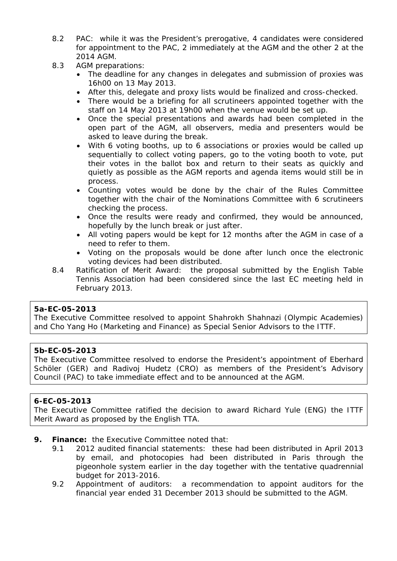- 8.2 PAC: while it was the President's prerogative, 4 candidates were considered for appointment to the PAC, 2 immediately at the AGM and the other 2 at the 2014 AGM.
- 8.3 AGM preparations:
	- The deadline for any changes in delegates and submission of proxies was 16h00 on 13 May 2013.
	- After this, delegate and proxy lists would be finalized and cross-checked.
	- There would be a briefing for all scrutineers appointed together with the staff on 14 May 2013 at 19h00 when the venue would be set up.
	- Once the special presentations and awards had been completed in the open part of the AGM, all observers, media and presenters would be asked to leave during the break.
	- With 6 voting booths, up to 6 associations or proxies would be called up sequentially to collect voting papers, go to the voting booth to vote, put their votes in the ballot box and return to their seats as quickly and quietly as possible as the AGM reports and agenda items would still be in process.
	- Counting votes would be done by the chair of the Rules Committee together with the chair of the Nominations Committee with 6 scrutineers checking the process.
	- Once the results were ready and confirmed, they would be announced, hopefully by the lunch break or just after.
	- All voting papers would be kept for 12 months after the AGM in case of a need to refer to them.
	- Voting on the proposals would be done after lunch once the electronic voting devices had been distributed.
- 8.4 Ratification of Merit Award: the proposal submitted by the English Table Tennis Association had been considered since the last EC meeting held in February 2013.

#### **5a-EC-05-2013**

The Executive Committee resolved to appoint Shahrokh Shahnazi (Olympic Academies) and Cho Yang Ho (Marketing and Finance) as Special Senior Advisors to the ITTF.

#### **5b-EC-05-2013**

The Executive Committee resolved to endorse the President's appointment of Eberhard Schöler (GER) and Radivoj Hudetz (CRO) as members of the President's Advisory Council (PAC) to take immediate effect and to be announced at the AGM.

# **6-EC-05-2013**

The Executive Committee ratified the decision to award Richard Yule (ENG) the ITTF Merit Award as proposed by the English TTA.

- **9. Finance:** the Executive Committee noted that:
	- 9.1 2012 audited financial statements: these had been distributed in April 2013 by email, and photocopies had been distributed in Paris through the pigeonhole system earlier in the day together with the tentative quadrennial budget for 2013-2016.
	- 9.2 Appointment of auditors: a recommendation to appoint auditors for the financial year ended 31 December 2013 should be submitted to the AGM.